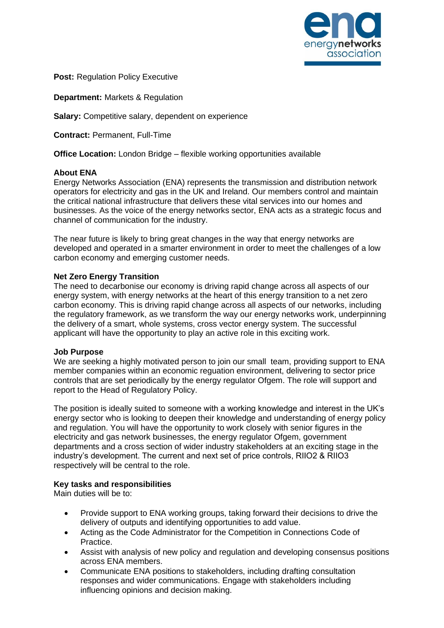

**Post: Regulation Policy Executive** 

**Department:** Markets & Regulation

**Salary:** Competitive salary, dependent on experience

**Contract:** Permanent, Full-Time

**Office Location:** London Bridge – flexible working opportunities available

#### **About ENA**

Energy Networks Association (ENA) represents the transmission and distribution network operators for electricity and gas in the UK and Ireland. Our members control and maintain the critical national infrastructure that delivers these vital services into our homes and businesses. As the voice of the energy networks sector, ENA acts as a strategic focus and channel of communication for the industry.

The near future is likely to bring great changes in the way that energy networks are developed and operated in a smarter environment in order to meet the challenges of a low carbon economy and emerging customer needs.

#### **Net Zero Energy Transition**

The need to decarbonise our economy is driving rapid change across all aspects of our energy system, with energy networks at the heart of this energy transition to a net zero carbon economy. This is driving rapid change across all aspects of our networks, including the regulatory framework, as we transform the way our energy networks work, underpinning the delivery of a smart, whole systems, cross vector energy system. The successful applicant will have the opportunity to play an active role in this exciting work.

#### **Job Purpose**

We are seeking a highly motivated person to join our small team, providing support to ENA member companies within an economic reguation environment, delivering to sector price controls that are set periodically by the energy regulator Ofgem. The role will support and report to the Head of Regulatory Policy.

The position is ideally suited to someone with a working knowledge and interest in the UK's energy sector who is looking to deepen their knowledge and understanding of energy policy and regulation. You will have the opportunity to work closely with senior figures in the electricity and gas network businesses, the energy regulator Ofgem, government departments and a cross section of wider industry stakeholders at an exciting stage in the industry's development. The current and next set of price controls, RIIO2 & RIIO3 respectively will be central to the role.

#### **Key tasks and responsibilities**

Main duties will be to:

- Provide support to ENA working groups, taking forward their decisions to drive the delivery of outputs and identifying opportunities to add value.
- Acting as the Code Administrator for the Competition in Connections Code of Practice.
- Assist with analysis of new policy and regulation and developing consensus positions across ENA members.
- Communicate ENA positions to stakeholders, including drafting consultation responses and wider communications. Engage with stakeholders including influencing opinions and decision making.